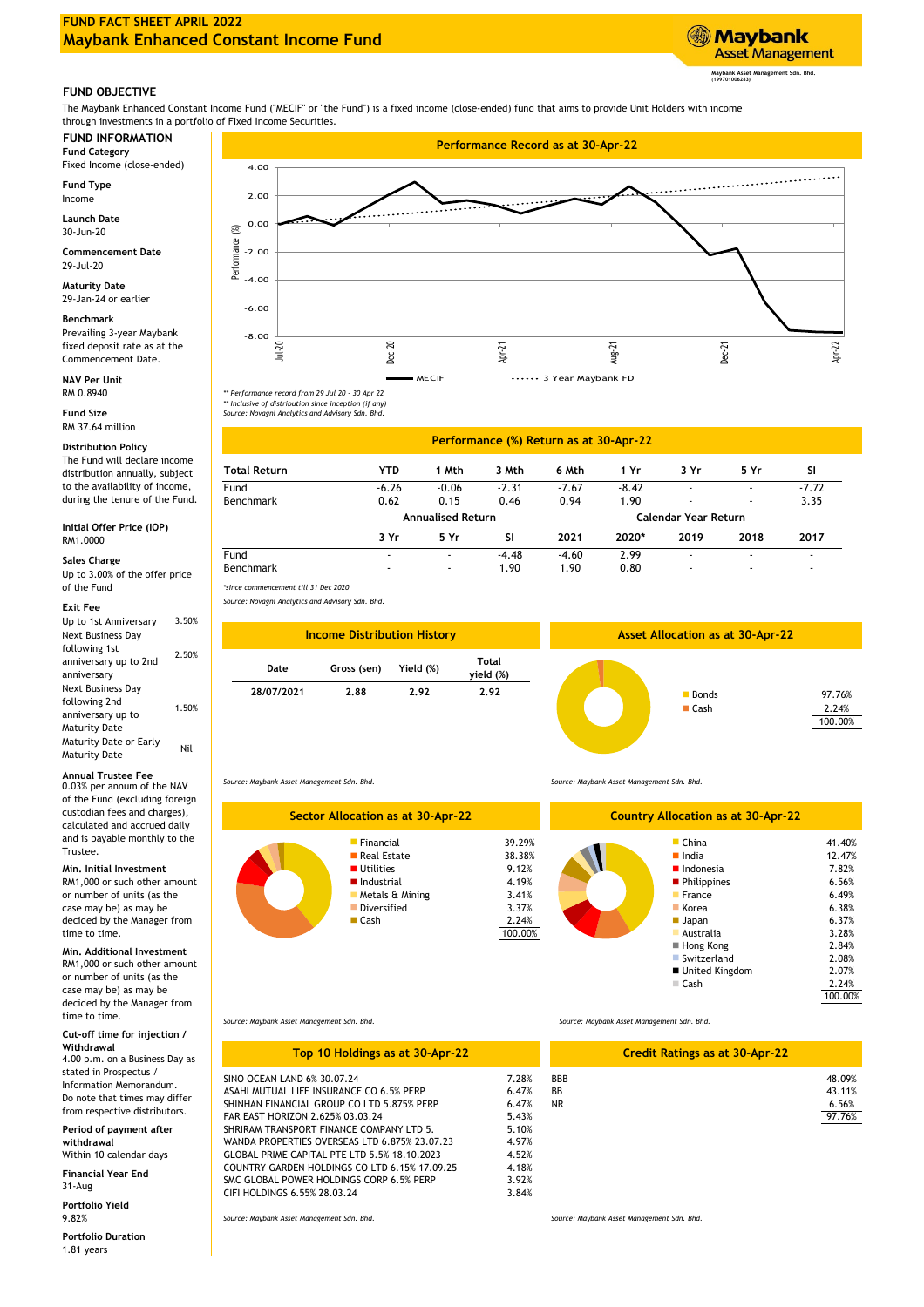

## **FUND OBJECTIVE**

The Maybank Enhanced Constant Income Fund ("MECIF" or "the Fund") is a fixed income (close-ended) fund that aims to provide Unit Holders with income through investments in a portfolio of Fixed Income Securities.

Fixed Income (close-ended)

**Fund Type** Income

**Launch Date** 30-Jun-20

29-Jul-20 **Commencement Date**

**Maturity Date** 29-Jan-24 or earlier

# **Benchmark**

Prevailing 3-year Maybank fixed deposit rate as at the Commencement Date.

**NAV Per Unit**

RM 37.64 million **Fund Size**

### **Sales Charge**

Up to  $3.00\%$  of the offer price<br>of the Fund

#### **Exit Fee**

| Up to 1st Anniversary  | 3.50% |
|------------------------|-------|
| Next Business Day      |       |
| following 1st          | 2.50% |
| anniversary up to 2nd  |       |
| anniversary            |       |
| Next Business Day      |       |
| following 2nd          | 1.50% |
| anniversary up to      |       |
| <b>Maturity Date</b>   |       |
| Maturity Date or Early | Nil   |
| <b>Maturity Date</b>   |       |

## **Annual Trustee Fee**

0.03% per annum of the NAV of the Fund (excluding foreign custodian fees and charges), calculated and accrued daily and is payable monthly to the Trustee.

**Min. Initial Investment** RM1,000 or such other amount or number of units (as the case may be) as may be decided by the Manager from time to time.

RM1,000 or such other amount or number of units (as the case may be) as may be decided by the Manager from time to time. **Min. Additional Investment**

### **Cut-off time for injection / Withdrawal**

4.00 p.m. on a Business Day as stated in Prospectus / Information Memorandum. Do note that times may differ from respective distributors.

**Period of payment after withdrawal**

Within 10 calendar days **Financial Year End**

**Portfolio Yield** 9.82% 31-Aug

1.81 years **Portfolio Duration**







| <b>Distribution Policy</b>                                     | Performance (%) Return as at 30-Apr-22 |                          |                          |         |         |                      |      |                          |                          |
|----------------------------------------------------------------|----------------------------------------|--------------------------|--------------------------|---------|---------|----------------------|------|--------------------------|--------------------------|
| The Fund will declare income<br>distribution annually, subject | <b>Total Return</b>                    | YTD                      | Mth                      | 3 Mth   | 6 Mth   | 1 Yr                 | 3 Yr | 5 Yr                     | SI                       |
| to the availability of income,                                 | Fund                                   | $-6.26$                  | $-0.06$                  | $-2.31$ | $-7.67$ | $-8.42$              |      | $\overline{\phantom{a}}$ | $-7.72$                  |
| during the tenure of the Fund.                                 | Benchmark                              | 0.62                     | 0.15                     | 0.46    | 0.94    | 1.90                 |      | $\overline{\phantom{a}}$ | 3.35                     |
|                                                                |                                        | <b>Annualised Return</b> |                          |         |         | Calendar Year Return |      |                          |                          |
| Initial Offer Price (IOP)<br>RM1.0000                          |                                        | 3 Yr                     | 5 Yr                     | SΙ      | 2021    | 2020*                | 2019 | 2018                     | 2017                     |
| Sales Charge                                                   | Fund                                   |                          |                          | $-4.48$ | $-4.60$ | 2.99                 |      | $\overline{\phantom{a}}$ |                          |
| Un to 3 00% of the offer price                                 | Benchmark                              | $\overline{\phantom{a}}$ | $\overline{\phantom{a}}$ | 90.١    | 1.90    | 0.80                 |      | $\overline{\phantom{a}}$ | $\overline{\phantom{a}}$ |

of the Fund *\*since commencement till 31 Dec 2020*

*Source: Novagni Analytics and Advisory Sdn. Bhd.*



*Source: Maybank Asset Management Sdn. Bhd.*

| Sector Allocation as at 30-Apr-22 | Cour                                                                                                                            |                                                                          |  |
|-----------------------------------|---------------------------------------------------------------------------------------------------------------------------------|--------------------------------------------------------------------------|--|
|                                   | Financial<br>Real Estate<br><b>Utilities</b><br>Industrial<br><b>Metals &amp; Mining</b><br><b>Diversified</b><br><b>■ Cash</b> | 39.29%<br>38.38%<br>9.12%<br>4.19%<br>3.41%<br>3.37%<br>2.24%<br>100.00% |  |

*Source: Maybank Asset Management Sdn. Bhd.*

| <b>Country Allocation as at 30-Apr-22</b>                                                                                                                                                           |                                                                                                                       |
|-----------------------------------------------------------------------------------------------------------------------------------------------------------------------------------------------------|-----------------------------------------------------------------------------------------------------------------------|
| $\blacksquare$ China<br>$\blacksquare$ India<br>$\blacksquare$ Indonesia<br><b>Philippines</b><br>France<br>Korea<br>■ Japan<br>Australia<br>■ Hong Kong<br>Switzerland<br>■ United Kingdom<br>Cash | 41.40%<br>12.47%<br>7.82%<br>6.56%<br>6.49%<br>6.38%<br>6.37%<br>3.28%<br>2.84%<br>2.08%<br>2.07%<br>2.24%<br>100.00% |
|                                                                                                                                                                                                     |                                                                                                                       |

*Source: Maybank Asset Management Sdn. Bhd.*

SINO OCEAN LAND 6% 30.07.24

FAR EAST HORIZON 2.625% 03.03.24 SHRIRAM TRANSPORT FINANCE COMPANY LTD 5.

WANDA PROPERTIES OVERSEAS LTD 6.875% 23.07.23

GLOBAL PRIME CAPITAL PTE LTD 5.5% 18.10.2023

SMC GLOBAL POWER HOLDINGS CORP 6.5% PERP

SHINHAN FINANCIAL GROUP CO LTD 5.875% PERP

ASAHI MUTUAL LIFE INSURANCE CO 6.5% PFRP

COUNTRY GARDEN HOLDINGS CO LTD 6.15% 17.09.25

**Top 10 Holdings as at 30-Apr-22**

### *Source: Maybank Asset Management Sdn. Bhd.*

|       |            | <b>Credit Ratings as at 30-Apr-22</b> |        |
|-------|------------|---------------------------------------|--------|
| 7.28% | <b>BBB</b> |                                       | 48.09% |
| 6.47% | BB         |                                       | 43.11% |
| 6.47% | NR.        |                                       | 6.56%  |
| 5.43% |            |                                       | 97.76% |
| 5.10% |            |                                       |        |
| 4.97% |            |                                       |        |
| 4.52% |            |                                       |        |
| 4.18% |            |                                       |        |
| 3.92% |            |                                       |        |
| 3.84% |            |                                       |        |

*Source: Maybank Asset Management Sdn. Bhd.*

CIFI HOLDINGS 6.55% 28.03.24

*Source: Maybank Asset Management Sdn. Bhd.*